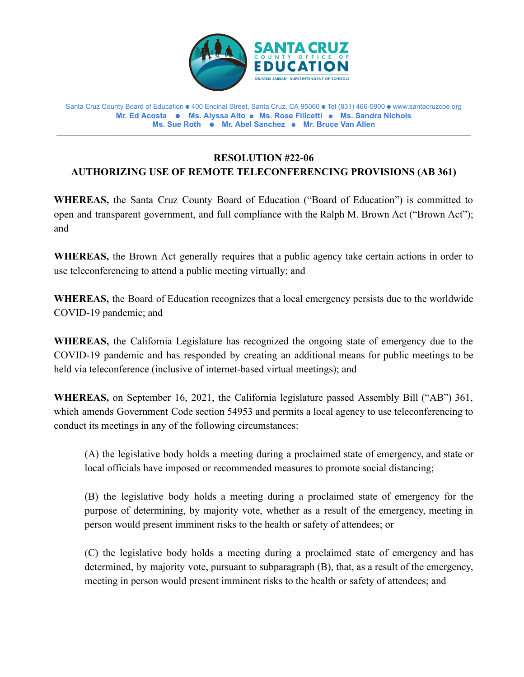

Santa Cruz County Board of Education ⚈ 400 Encinal Street, Santa Cruz, CA 95060 ⚈ Tel (831) 466-5900 ⚈ www.santacruzcoe.org **Mr. Ed Acosta ⚈ Ms. Alyssa Alto** ⚈ **Ms. Rose Filicetti** ⚈ **Ms. Sandra Nichols Ms. Sue Roth ⚈ Mr. Abel Sanchez** ⚈ **Mr. Bruce Van Allen**

## **RESOLUTION #22-06 AUTHORIZING USE OF REMOTE TELECONFERENCING PROVISIONS (AB 361)**

**WHEREAS,** the Santa Cruz County Board of Education ("Board of Education") is committed to open and transparent government, and full compliance with the Ralph M. Brown Act ("Brown Act"); and

**WHEREAS,** the Brown Act generally requires that a public agency take certain actions in order to use teleconferencing to attend a public meeting virtually; and

**WHEREAS,** the Board of Education recognizes that a local emergency persists due to the worldwide COVID-19 pandemic; and

**WHEREAS,** the California Legislature has recognized the ongoing state of emergency due to the COVID-19 pandemic and has responded by creating an additional means for public meetings to be held via teleconference (inclusive of internet-based virtual meetings); and

**WHEREAS,** on September 16, 2021, the California legislature passed Assembly Bill ("AB") 361, which amends Government Code section 54953 and permits a local agency to use teleconferencing to conduct its meetings in any of the following circumstances:

(A) the legislative body holds a meeting during a proclaimed state of emergency, and state or local officials have imposed or recommended measures to promote social distancing;

(B) the legislative body holds a meeting during a proclaimed state of emergency for the purpose of determining, by majority vote, whether as a result of the emergency, meeting in person would present imminent risks to the health or safety of attendees; or

(C) the legislative body holds a meeting during a proclaimed state of emergency and has determined, by majority vote, pursuant to subparagraph (B), that, as a result of the emergency, meeting in person would present imminent risks to the health or safety of attendees; and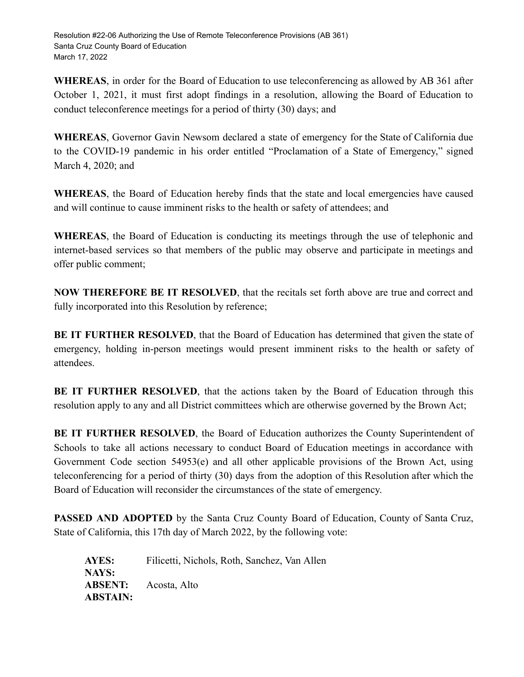**WHEREAS**, in order for the Board of Education to use teleconferencing as allowed by AB 361 after October 1, 2021, it must first adopt findings in a resolution, allowing the Board of Education to conduct teleconference meetings for a period of thirty (30) days; and

**WHEREAS**, Governor Gavin Newsom declared a state of emergency for the State of California due to the COVID-19 pandemic in his order entitled "Proclamation of a State of Emergency," signed March 4, 2020; and

**WHEREAS**, the Board of Education hereby finds that the state and local emergencies have caused and will continue to cause imminent risks to the health or safety of attendees; and

**WHEREAS**, the Board of Education is conducting its meetings through the use of telephonic and internet-based services so that members of the public may observe and participate in meetings and offer public comment;

**NOW THEREFORE BE IT RESOLVED**, that the recitals set forth above are true and correct and fully incorporated into this Resolution by reference;

**BE IT FURTHER RESOLVED**, that the Board of Education has determined that given the state of emergency, holding in-person meetings would present imminent risks to the health or safety of attendees.

**BE IT FURTHER RESOLVED**, that the actions taken by the Board of Education through this resolution apply to any and all District committees which are otherwise governed by the Brown Act;

**BE IT FURTHER RESOLVED**, the Board of Education authorizes the County Superintendent of Schools to take all actions necessary to conduct Board of Education meetings in accordance with Government Code section 54953(e) and all other applicable provisions of the Brown Act, using teleconferencing for a period of thirty (30) days from the adoption of this Resolution after which the Board of Education will reconsider the circumstances of the state of emergency.

**PASSED AND ADOPTED** by the Santa Cruz County Board of Education, County of Santa Cruz, State of California, this 17th day of March 2022, by the following vote:

**AYES:** Filicetti, Nichols, Roth, Sanchez, Van Allen **NAYS: ABSENT:** Acosta, Alto **ABSTAIN:**